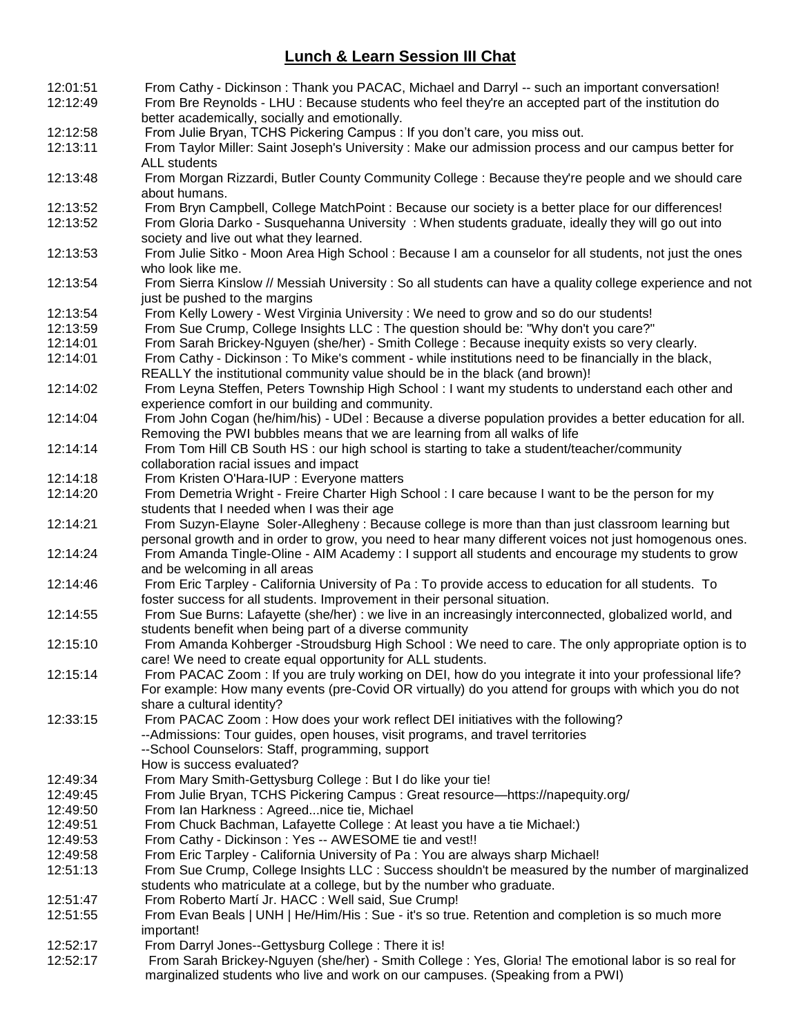## **Lunch & Learn Session III Chat**

| 12:01:51 | From Cathy - Dickinson: Thank you PACAC, Michael and Darryl -- such an important conversation!                                                                                                              |
|----------|-------------------------------------------------------------------------------------------------------------------------------------------------------------------------------------------------------------|
| 12:12:49 | From Bre Reynolds - LHU : Because students who feel they're an accepted part of the institution do<br>better academically, socially and emotionally.                                                        |
| 12:12:58 | From Julie Bryan, TCHS Pickering Campus : If you don't care, you miss out.                                                                                                                                  |
| 12:13:11 | From Taylor Miller: Saint Joseph's University : Make our admission process and our campus better for<br>ALL students                                                                                        |
| 12:13:48 | From Morgan Rizzardi, Butler County Community College : Because they're people and we should care                                                                                                           |
|          | about humans.                                                                                                                                                                                               |
| 12:13:52 | From Bryn Campbell, College MatchPoint : Because our society is a better place for our differences!                                                                                                         |
| 12:13:52 | From Gloria Darko - Susquehanna University: When students graduate, ideally they will go out into<br>society and live out what they learned.                                                                |
| 12:13:53 | From Julie Sitko - Moon Area High School : Because I am a counselor for all students, not just the ones<br>who look like me.                                                                                |
| 12:13:54 | From Sierra Kinslow // Messiah University : So all students can have a quality college experience and not<br>just be pushed to the margins                                                                  |
| 12:13:54 | From Kelly Lowery - West Virginia University : We need to grow and so do our students!                                                                                                                      |
| 12:13:59 | From Sue Crump, College Insights LLC : The question should be: "Why don't you care?"                                                                                                                        |
|          |                                                                                                                                                                                                             |
| 12:14:01 | From Sarah Brickey-Nguyen (she/her) - Smith College : Because inequity exists so very clearly.                                                                                                              |
| 12:14:01 | From Cathy - Dickinson : To Mike's comment - while institutions need to be financially in the black,<br>REALLY the institutional community value should be in the black (and brown)!                        |
| 12:14:02 | From Leyna Steffen, Peters Township High School : I want my students to understand each other and<br>experience comfort in our building and community.                                                      |
| 12:14:04 | From John Cogan (he/him/his) - UDel : Because a diverse population provides a better education for all.<br>Removing the PWI bubbles means that we are learning from all walks of life                       |
| 12:14:14 | From Tom Hill CB South HS : our high school is starting to take a student/teacher/community<br>collaboration racial issues and impact                                                                       |
| 12:14:18 | From Kristen O'Hara-IUP : Everyone matters                                                                                                                                                                  |
|          |                                                                                                                                                                                                             |
| 12:14:20 | From Demetria Wright - Freire Charter High School : I care because I want to be the person for my<br>students that I needed when I was their age                                                            |
| 12:14:21 | From Suzyn-Elayne Soler-Allegheny : Because college is more than than just classroom learning but<br>personal growth and in order to grow, you need to hear many different voices not just homogenous ones. |
| 12:14:24 | From Amanda Tingle-Oline - AIM Academy : I support all students and encourage my students to grow<br>and be welcoming in all areas                                                                          |
| 12:14:46 | From Eric Tarpley - California University of Pa : To provide access to education for all students. To<br>foster success for all students. Improvement in their personal situation.                          |
| 12:14:55 | From Sue Burns: Lafayette (she/her) : we live in an increasingly interconnected, globalized world, and<br>students benefit when being part of a diverse community                                           |
| 12:15:10 | From Amanda Kohberger -Stroudsburg High School: We need to care. The only appropriate option is to                                                                                                          |
|          | care! We need to create equal opportunity for ALL students.                                                                                                                                                 |
| 12:15:14 | From PACAC Zoom : If you are truly working on DEI, how do you integrate it into your professional life?                                                                                                     |
|          | For example: How many events (pre-Covid OR virtually) do you attend for groups with which you do not                                                                                                        |
| 12:33:15 | share a cultural identity?<br>From PACAC Zoom: How does your work reflect DEI initiatives with the following?                                                                                               |
|          | --Admissions: Tour guides, open houses, visit programs, and travel territories                                                                                                                              |
|          | --School Counselors: Staff, programming, support                                                                                                                                                            |
|          | How is success evaluated?                                                                                                                                                                                   |
| 12:49:34 | From Mary Smith-Gettysburg College : But I do like your tie!                                                                                                                                                |
|          |                                                                                                                                                                                                             |
| 12:49:45 | From Julie Bryan, TCHS Pickering Campus: Great resource—https://napequity.org/                                                                                                                              |
| 12:49:50 | From Ian Harkness: Agreednice tie, Michael                                                                                                                                                                  |
| 12:49:51 | From Chuck Bachman, Lafayette College : At least you have a tie Michael:)                                                                                                                                   |
| 12:49:53 | From Cathy - Dickinson : Yes -- AWESOME tie and vest!!                                                                                                                                                      |
| 12:49:58 | From Eric Tarpley - California University of Pa: You are always sharp Michael!                                                                                                                              |
| 12:51:13 | From Sue Crump, College Insights LLC : Success shouldn't be measured by the number of marginalized<br>students who matriculate at a college, but by the number who graduate.                                |
| 12:51:47 | From Roberto Martí Jr. HACC : Well said, Sue Crump!                                                                                                                                                         |
| 12:51:55 | From Evan Beals   UNH   He/Him/His : Sue - it's so true. Retention and completion is so much more                                                                                                           |
|          | important!                                                                                                                                                                                                  |
| 12:52:17 | From Darryl Jones--Gettysburg College: There it is!                                                                                                                                                         |
| 12:52:17 | From Sarah Brickey-Nguyen (she/her) - Smith College : Yes, Gloria! The emotional labor is so real for                                                                                                       |
|          | marginalized students who live and work on our campuses. (Speaking from a PWI)                                                                                                                              |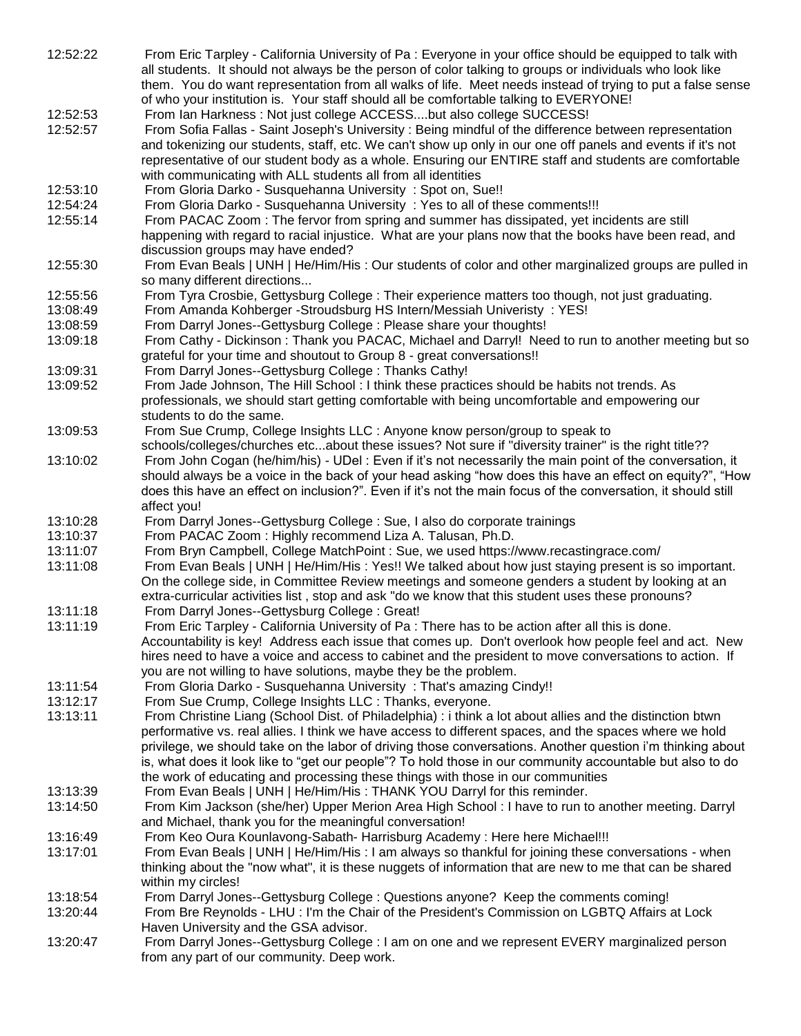| 12:52:22 | From Eric Tarpley - California University of Pa : Everyone in your office should be equipped to talk with                                    |
|----------|----------------------------------------------------------------------------------------------------------------------------------------------|
|          | all students. It should not always be the person of color talking to groups or individuals who look like                                     |
|          | them. You do want representation from all walks of life. Meet needs instead of trying to put a false sense                                   |
|          | of who your institution is. Your staff should all be comfortable talking to EVERYONE!                                                        |
| 12:52:53 | From Ian Harkness: Not just college ACCESSbut also college SUCCESS!                                                                          |
| 12:52:57 | From Sofia Fallas - Saint Joseph's University : Being mindful of the difference between representation                                       |
|          | and tokenizing our students, staff, etc. We can't show up only in our one off panels and events if it's not                                  |
|          |                                                                                                                                              |
|          | representative of our student body as a whole. Ensuring our ENTIRE staff and students are comfortable                                        |
|          | with communicating with ALL students all from all identities                                                                                 |
| 12:53:10 | From Gloria Darko - Susquehanna University: Spot on, Sue!!                                                                                   |
| 12:54:24 | From Gloria Darko - Susquehanna University : Yes to all of these comments!!!                                                                 |
| 12:55:14 | From PACAC Zoom: The fervor from spring and summer has dissipated, yet incidents are still                                                   |
|          | happening with regard to racial injustice. What are your plans now that the books have been read, and                                        |
|          | discussion groups may have ended?                                                                                                            |
| 12:55:30 | From Evan Beals   UNH   He/Him/His : Our students of color and other marginalized groups are pulled in                                       |
|          | so many different directions                                                                                                                 |
| 12:55:56 | From Tyra Crosbie, Gettysburg College : Their experience matters too though, not just graduating.                                            |
|          | From Amanda Kohberger - Stroudsburg HS Intern/Messiah Univeristy: YES!                                                                       |
| 13:08:49 |                                                                                                                                              |
| 13:08:59 | From Darryl Jones--Gettysburg College : Please share your thoughts!                                                                          |
| 13:09:18 | From Cathy - Dickinson: Thank you PACAC, Michael and Darry!! Need to run to another meeting but so                                           |
|          | grateful for your time and shoutout to Group 8 - great conversations!!                                                                       |
| 13:09:31 | From Darryl Jones--Gettysburg College: Thanks Cathy!                                                                                         |
| 13:09:52 | From Jade Johnson, The Hill School : I think these practices should be habits not trends. As                                                 |
|          | professionals, we should start getting comfortable with being uncomfortable and empowering our                                               |
|          | students to do the same.                                                                                                                     |
| 13:09:53 | From Sue Crump, College Insights LLC : Anyone know person/group to speak to                                                                  |
|          | schools/colleges/churches etcabout these issues? Not sure if "diversity trainer" is the right title??                                        |
|          | From John Cogan (he/him/his) - UDel : Even if it's not necessarily the main point of the conversation, it                                    |
| 13:10:02 |                                                                                                                                              |
|          | should always be a voice in the back of your head asking "how does this have an effect on equity?", "How                                     |
|          | does this have an effect on inclusion?". Even if it's not the main focus of the conversation, it should still                                |
|          |                                                                                                                                              |
|          | affect you!                                                                                                                                  |
| 13:10:28 | From Darryl Jones--Gettysburg College : Sue, I also do corporate trainings                                                                   |
| 13:10:37 | From PACAC Zoom: Highly recommend Liza A. Talusan, Ph.D.                                                                                     |
| 13:11:07 | From Bryn Campbell, College MatchPoint : Sue, we used https://www.recastingrace.com/                                                         |
| 13:11:08 | From Evan Beals   UNH   He/Him/His : Yes!! We talked about how just staying present is so important.                                         |
|          |                                                                                                                                              |
|          | On the college side, in Committee Review meetings and someone genders a student by looking at an                                             |
|          | extra-curricular activities list, stop and ask "do we know that this student uses these pronouns?                                            |
| 13:11:18 | From Darryl Jones--Gettysburg College: Great!                                                                                                |
| 13:11:19 | From Eric Tarpley - California University of Pa : There has to be action after all this is done.                                             |
|          | Accountability is key! Address each issue that comes up. Don't overlook how people feel and act. New                                         |
|          | hires need to have a voice and access to cabinet and the president to move conversations to action. If                                       |
|          | you are not willing to have solutions, maybe they be the problem.                                                                            |
| 13:11:54 | From Gloria Darko - Susquehanna University: That's amazing Cindy!!                                                                           |
| 13:12:17 | From Sue Crump, College Insights LLC : Thanks, everyone.                                                                                     |
| 13:13:11 | From Christine Liang (School Dist. of Philadelphia) : i think a lot about allies and the distinction btwn                                    |
|          | performative vs. real allies. I think we have access to different spaces, and the spaces where we hold                                       |
|          |                                                                                                                                              |
|          | privilege, we should take on the labor of driving those conversations. Another question i'm thinking about                                   |
|          | is, what does it look like to "get our people"? To hold those in our community accountable but also to do                                    |
|          | the work of educating and processing these things with those in our communities                                                              |
| 13:13:39 | From Evan Beals   UNH   He/Him/His: THANK YOU Darryl for this reminder.                                                                      |
| 13:14:50 | From Kim Jackson (she/her) Upper Merion Area High School : I have to run to another meeting. Darryl                                          |
|          | and Michael, thank you for the meaningful conversation!                                                                                      |
| 13:16:49 | From Keo Oura Kounlavong-Sabath- Harrisburg Academy: Here here Michael!!!                                                                    |
| 13:17:01 | From Evan Beals   UNH   He/Him/His : I am always so thankful for joining these conversations - when                                          |
|          | thinking about the "now what", it is these nuggets of information that are new to me that can be shared                                      |
|          | within my circles!                                                                                                                           |
| 13:18:54 |                                                                                                                                              |
|          | From Darryl Jones--Gettysburg College : Questions anyone? Keep the comments coming!                                                          |
| 13:20:44 | From Bre Reynolds - LHU : I'm the Chair of the President's Commission on LGBTQ Affairs at Lock                                               |
|          | Haven University and the GSA advisor.                                                                                                        |
| 13:20:47 | From Darryl Jones--Gettysburg College : I am on one and we represent EVERY marginalized person<br>from any part of our community. Deep work. |